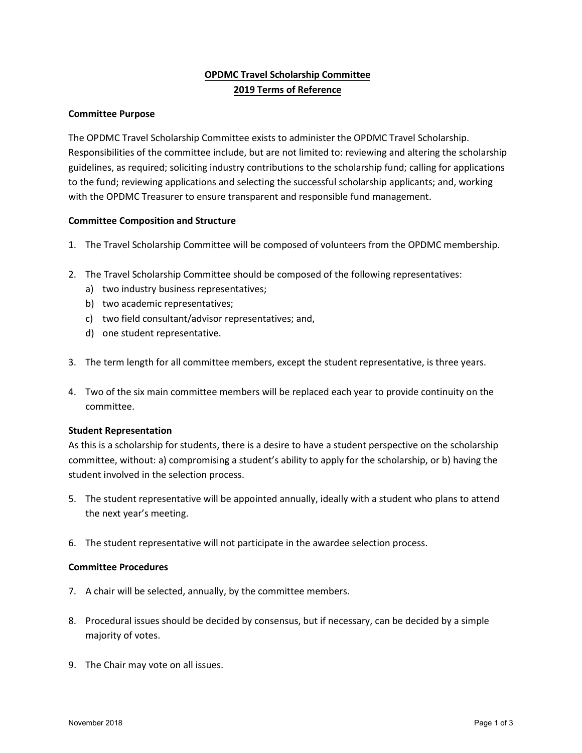# **OPDMC Travel Scholarship Committee 2019 Terms of Reference**

## **Committee Purpose**

The OPDMC Travel Scholarship Committee exists to administer the OPDMC Travel Scholarship. Responsibilities of the committee include, but are not limited to: reviewing and altering the scholarship guidelines, as required; soliciting industry contributions to the scholarship fund; calling for applications to the fund; reviewing applications and selecting the successful scholarship applicants; and, working with the OPDMC Treasurer to ensure transparent and responsible fund management.

#### **Committee Composition and Structure**

- 1. The Travel Scholarship Committee will be composed of volunteers from the OPDMC membership.
- 2. The Travel Scholarship Committee should be composed of the following representatives:
	- a) two industry business representatives;
	- b) two academic representatives;
	- c) two field consultant/advisor representatives; and,
	- d) one student representative.
- 3. The term length for all committee members, except the student representative, is three years.
- 4. Two of the six main committee members will be replaced each year to provide continuity on the committee.

#### **Student Representation**

As this is a scholarship for students, there is a desire to have a student perspective on the scholarship committee, without: a) compromising a student's ability to apply for the scholarship, or b) having the student involved in the selection process.

- 5. The student representative will be appointed annually, ideally with a student who plans to attend the next year's meeting.
- 6. The student representative will not participate in the awardee selection process.

#### **Committee Procedures**

- 7. A chair will be selected, annually, by the committee members.
- 8. Procedural issues should be decided by consensus, but if necessary, can be decided by a simple majority of votes.
- 9. The Chair may vote on all issues.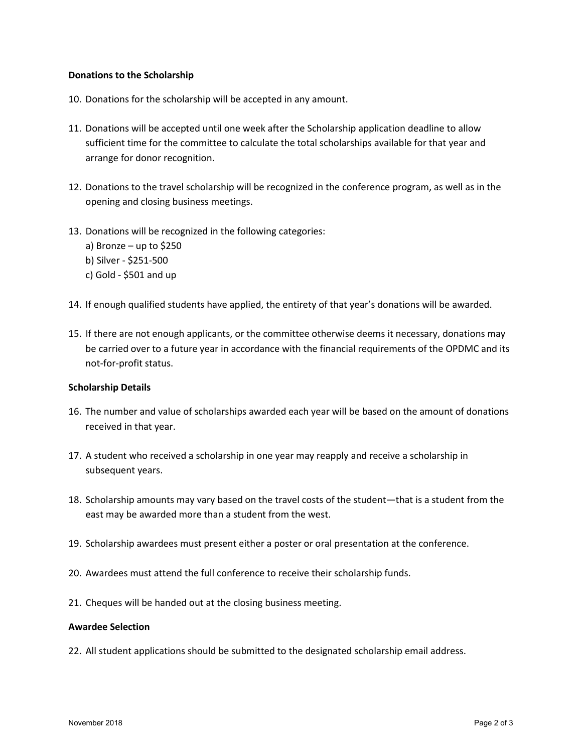## **Donations to the Scholarship**

- 10. Donations for the scholarship will be accepted in any amount.
- 11. Donations will be accepted until one week after the Scholarship application deadline to allow sufficient time for the committee to calculate the total scholarships available for that year and arrange for donor recognition.
- 12. Donations to the travel scholarship will be recognized in the conference program, as well as in the opening and closing business meetings.
- 13. Donations will be recognized in the following categories:
	- a) Bronze up to \$250 b) Silver - \$251-500
	- c) Gold \$501 and up
- 14. If enough qualified students have applied, the entirety of that year's donations will be awarded.
- 15. If there are not enough applicants, or the committee otherwise deems it necessary, donations may be carried over to a future year in accordance with the financial requirements of the OPDMC and its not-for-profit status.

#### **Scholarship Details**

- 16. The number and value of scholarships awarded each year will be based on the amount of donations received in that year.
- 17. A student who received a scholarship in one year may reapply and receive a scholarship in subsequent years.
- 18. Scholarship amounts may vary based on the travel costs of the student—that is a student from the east may be awarded more than a student from the west.
- 19. Scholarship awardees must present either a poster or oral presentation at the conference.
- 20. Awardees must attend the full conference to receive their scholarship funds.
- 21. Cheques will be handed out at the closing business meeting.

## **Awardee Selection**

22. All student applications should be submitted to the designated scholarship email address.